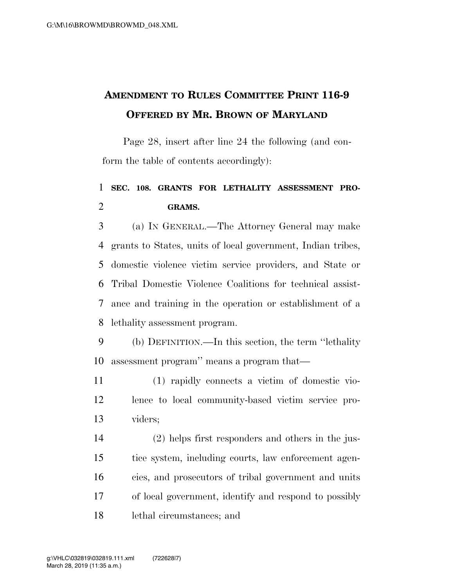## **AMENDMENT TO RULES COMMITTEE PRINT 116-9 OFFERED BY MR. BROWN OF MARYLAND**

Page 28, insert after line 24 the following (and conform the table of contents accordingly):

## **SEC. 108. GRANTS FOR LETHALITY ASSESSMENT PRO-GRAMS.**

 (a) IN GENERAL.—The Attorney General may make grants to States, units of local government, Indian tribes, domestic violence victim service providers, and State or Tribal Domestic Violence Coalitions for technical assist- ance and training in the operation or establishment of a lethality assessment program.

 (b) DEFINITION.—In this section, the term ''lethality assessment program'' means a program that—

 (1) rapidly connects a victim of domestic vio- lence to local community-based victim service pro-viders;

 (2) helps first responders and others in the jus- tice system, including courts, law enforcement agen- cies, and prosecutors of tribal government and units of local government, identify and respond to possibly lethal circumstances; and